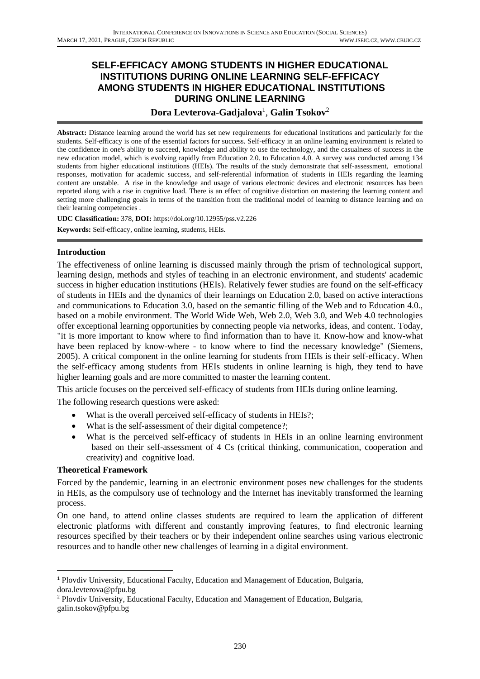# **SELF-EFFICACY AMONG STUDENTS IN HIGHER EDUCATIONAL INSTITUTIONS DURING ONLINE LEARNING SELF-EFFICACY AMONG STUDENTS IN HIGHER EDUCATIONAL INSTITUTIONS DURING ONLINE LEARNING**

# **Dora Levterova-Gadjalova**<sup>1</sup> , **Galin Tsokov**<sup>2</sup>

**Abstract:** Distance learning around the world has set new requirements for educational institutions and particularly for the students. Self-efficacy is one of the essential factors for success. Self-efficacy in an online learning environment is related to the confidence in one's ability to succeed, knowledge and ability to use the technology, and the casualness of success in the new education model, which is evolving rapidly from Education 2.0. to Education 4.0. A survey was conducted among 134 students from higher educational institutions (HEIs). The results of the study demonstrate that self-assessment, emotional responses, motivation for academic success, and self-referential information of students in HEIs regarding the learning content are unstable. A rise in the knowledge and usage of various electronic devices and electronic resources has been reported along with a rise in cognitive load. There is an effect of cognitive distortion on mastering the learning content and setting more challenging goals in terms of the transition from the traditional model of learning to distance learning and on their learning competencies .

**UDC Classification:** 378, **DOI:** https://doi.org/10.12955/pss.v2.226

**Keywords:** Self-efficacy, online learning, students, HEIs.

### **Introduction**

The effectiveness of online learning is discussed mainly through the prism of technological support, learning design, methods and styles of teaching in an electronic environment, and students' academic success in higher education institutions (HEIs). Relatively fewer studies are found on the self-efficacy of students in HEIs and the dynamics of their learnings on Education 2.0, based on active interactions and communications to Education 3.0, based on the semantic filling of the Web and to Education 4.0., based on a mobile environment. The World Wide Web, Web 2.0, Web 3.0, and Web 4.0 technologies offer exceptional learning opportunities by connecting people via networks, ideas, and content. Today, "it is more important to know where to find information than to have it. Know-how and know-what have been replaced by know-where - to know where to find the necessary knowledge" (Siemens, 2005). A critical component in the online learning for students from HEIs is their self-efficacy. When the self-efficacy among students from HEIs students in online learning is high, they tend to have higher learning goals and are more committed to master the learning content.

This article focuses on the perceived self-efficacy of students from HEIs during online learning.

The following research questions were asked:

- What is the overall perceived self-efficacy of students in HEIs?;
- What is the self-assessment of their digital competence?;
- What is the perceived self-efficacy of students in HEIs in an online learning environment based on their self-assessment of 4 Cs (critical thinking, communication, cooperation and creativity) and cognitive load.

### **Theoretical Framework**

Forced by the pandemic, learning in an electronic environment poses new challenges for the students in HEIs, as the compulsory use of technology and the Internet has inevitably transformed the learning process.

On one hand, to attend online classes students are required to learn the application of different electronic platforms with different and constantly improving features, to find electronic learning resources specified by their teachers or by their independent online searches using various electronic resources and to handle other new challenges of learning in a digital environment.

<sup>1</sup> Plovdiv University, Educational Faculty, Education and Management of Education, Bulgaria, dora.levterova@pfpu.bg

<sup>2</sup> Plovdiv University, Educational Faculty, Education and Management of Education, Bulgaria, galin.tsokov@pfpu.bg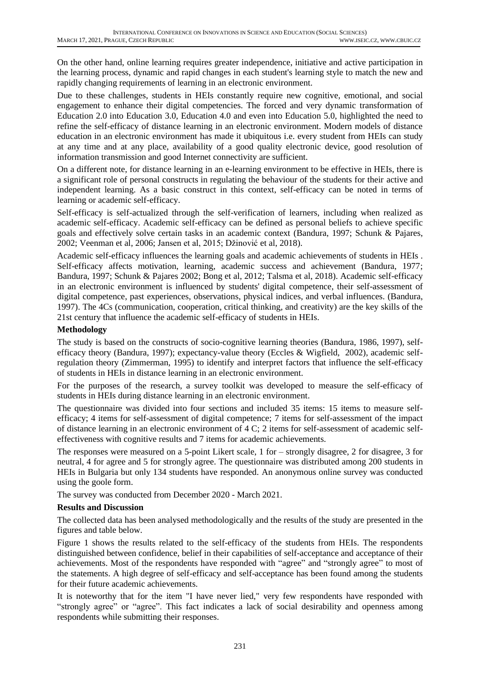On the other hand, online learning requires greater independence, initiative and active participation in the learning process, dynamic and rapid changes in each student's learning style to match the new and rapidly changing requirements of learning in an electronic environment.

Due to these challenges, students in HEIs constantly require new cognitive, emotional, and social engagement to enhance their digital competencies. The forced and very dynamic transformation of Education 2.0 into Education 3.0, Education 4.0 and even into Education 5.0, highlighted the need to refine the self-efficacy of distance learning in an electronic environment. Modern models of distance education in an electronic environment has made it ubiquitous i.e. every student from HEIs can study at any time and at any place, availability of a good quality electronic device, good resolution of information transmission and good Internet connectivity are sufficient.

On a different note, for distance learning in an e-learning environment to be effective in HEIs, there is a significant role of personal constructs in regulating the behaviour of the students for their active and independent learning. As a basic construct in this context, self-efficacy can be noted in terms of learning or academic self-efficacy.

Self-efficacy is self-actualized through the self-verification of learners, including when realized as academic self-efficacy. Academic self-efficacy can be defined as personal beliefs to achieve specific goals and effectively solve certain tasks in an academic context (Bandura, 1997; Schunk & Pajares, 2002; Veenman et al, 2006; Jansen et al, 2015; Džinović et al, 2018).

Academic self-efficacy influences the learning goals and academic achievements of students in HEIs . Self-efficacy affects motivation, learning, academic success and achievement (Bandura, 1977; Bandura, 1997; Schunk & Pajares 2002; Bong et al, 2012; Talsma et al, 2018). Academic self-efficacy in an electronic environment is influenced by students' digital competence, their self-assessment of digital competence, past experiences, observations, physical indices, and verbal influences. (Bandura, 1997). The 4Cs (communication, cooperation, critical thinking, and creativity) are the key skills of the 21st century that influence the academic self-efficacy of students in HEIs.

## **Methodology**

The study is based on the constructs of socio-cognitive learning theories (Bandura, 1986, 1997), selfefficacy theory (Bandura, 1997); expectancy-value theory (Eccles & Wigfield, 2002), academic selfregulation theory (Zimmerman, 1995) to identify and interpret factors that influence the self-efficacy of students in HEIs in distance learning in an electronic environment.

For the purposes of the research, a survey toolkit was developed to measure the self-efficacy of students in HEIs during distance learning in an electronic environment.

The questionnaire was divided into four sections and included 35 items: 15 items to measure selfefficacy; 4 items for self-assessment of digital competence; 7 items for self-assessment of the impact of distance learning in an electronic environment of 4 C; 2 items for self-assessment of academic selfeffectiveness with cognitive results and 7 items for academic achievements.

The responses were measured on a 5-point Likert scale, 1 for – strongly disagree, 2 for disagree, 3 for neutral, 4 for agree and 5 for strongly agree. The questionnaire was distributed among 200 students in HEIs in Bulgaria but only 134 students have responded. An anonymous online survey was conducted using the goole form.

The survey was conducted from December 2020 - March 2021.

## **Results and Discussion**

The collected data has been analysed methodologically and the results of the study are presented in the figures and table below.

Figure 1 shows the results related to the self-efficacy of the students from HEIs. The respondents distinguished between confidence, belief in their capabilities of self-acceptance and acceptance of their achievements. Most of the respondents have responded with "agree" and "strongly agree" to most of the statements. A high degree of self-efficacy and self-acceptance has been found among the students for their future academic achievements.

It is noteworthy that for the item "I have never lied," very few respondents have responded with "strongly agree" or "agree". This fact indicates a lack of social desirability and openness among respondents while submitting their responses.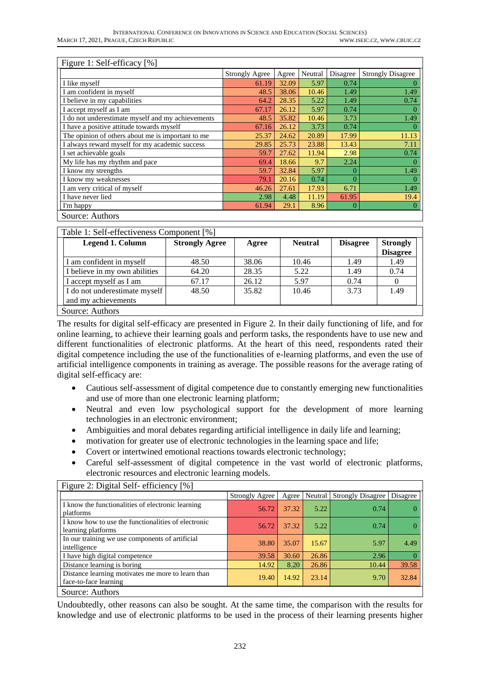|                                                   | <b>Strongly Agree</b> | Agree | Neutral | Disagree | <b>Strongly Disagree</b> |
|---------------------------------------------------|-----------------------|-------|---------|----------|--------------------------|
| I like myself                                     | 61.19                 | 32.09 | 5.97    | 0.74     |                          |
| I am confident in myself                          | 48.5                  | 38.06 | 10.46   | 1.49     | 1.49                     |
| I believe in my capabilities                      | 64.2                  | 28.35 | 5.22    | 1.49     | 0.74                     |
| I accept myself as I am                           | 67.17                 | 26.12 | 5.97    | 0.74     |                          |
| I do not underestimate myself and my achievements | 48.5                  | 35.82 | 10.46   | 3.73     | 1.49                     |
| I have a positive attitude towards myself         | 67.16                 | 26.12 | 3.73    | 0.74     |                          |
| The opinion of others about me is important to me | 25.37                 | 24.62 | 20.89   | 17.99    | 11.13                    |
| I always reward myself for my academic success    | 29.85                 | 25.73 | 23.88   | 13.43    | 7.11                     |
| I set achievable goals                            | 59.7                  | 27.62 | 11.94   | 2.98     | 0.74                     |
| My life has my rhythm and pace                    | 69.4                  | 18.66 | 9.7     | 2.24     |                          |
| I know my strengths                               | 59.7                  | 32.84 | 5.97    | 0        | 1.49                     |
| I know my weaknesses                              | 79.1                  | 20.16 | 0.74    | 0        |                          |
| I am very critical of myself                      | 46.26                 | 27.61 | 17.93   | 6.71     | 1.49                     |
| I have never lied                                 | 2.98                  | 4.48  | 11.19   | 61.95    | 19.4                     |
| I'm happy                                         | 61.94                 | 29.1  | 8.96    | $\theta$ |                          |

| <b>Legend 1. Column</b>       | <b>Strongly Agree</b> | Agree | <b>Neutral</b> | <b>Disagree</b> | <b>Strongly</b><br><b>Disagree</b> |
|-------------------------------|-----------------------|-------|----------------|-----------------|------------------------------------|
| I am confident in myself      | 48.50                 | 38.06 | 10.46          | 1.49            | 1.49                               |
| I believe in my own abilities | 64.20                 | 28.35 | 5.22           | 1.49            | 0.74                               |
| I accept myself as I am       | 67.17                 | 26.12 | 5.97           | 0.74            | $\theta$                           |
| I do not underestimate myself | 48.50                 | 35.82 | 10.46          | 3.73            | 1.49                               |
| and my achievements           |                       |       |                |                 |                                    |
| Source: Authors               |                       |       |                |                 |                                    |

The results for digital self-efficacy are presented in Figure 2. In their daily functioning of life, and for online learning, to achieve their learning goals and perform tasks, the respondents have to use new and different functionalities of electronic platforms. At the heart of this need, respondents rated their digital competence including the use of the functionalities of e-learning platforms, and even the use of artificial intelligence components in training as average. The possible reasons for the average rating of digital self-efficacy are:

- Cautious self-assessment of digital competence due to constantly emerging new functionalities and use of more than one electronic learning platform;
- Neutral and even low psychological support for the development of more learning technologies in an electronic environment;
- Ambiguities and moral debates regarding artificial intelligence in daily life and learning;
- motivation for greater use of electronic technologies in the learning space and life;
- Covert or intertwined emotional reactions towards electronic technology;
- Careful self-assessment of digital competence in the vast world of electronic platforms, electronic resources and electronic learning models.

| $\Gamma$ iguie 2. Digital Sell-efficiency $\gamma$   $\gamma$              |                       |       |         |                          |          |  |  |
|----------------------------------------------------------------------------|-----------------------|-------|---------|--------------------------|----------|--|--|
|                                                                            | <b>Strongly Agree</b> | Agree | Neutral | <b>Strongly Disagree</b> | Disagree |  |  |
| I know the functionalities of electronic learning<br>platforms             | 56.72                 | 37.32 | 5.22    | 0.74                     |          |  |  |
| I know how to use the functionalities of electronic<br>learning platforms  | 56.72                 | 37.32 | 5.22    | 0.74                     |          |  |  |
| In our training we use components of artificial<br>intelligence            | 38.80                 | 35.07 | 15.67   | 5.97                     | 4.49     |  |  |
| I have high digital competence                                             | 39.58                 | 30.60 | 26.86   | 2.96                     |          |  |  |
| Distance learning is boring                                                | 14.92                 | 8.20  | 26.86   | 10.44                    | 39.58    |  |  |
| Distance learning motivates me more to learn than<br>face-to-face learning | 19.40                 | 14.92 | 23.14   | 9.70                     | 32.84    |  |  |
| Source: Authors                                                            |                       |       |         |                          |          |  |  |

 $\overline{\text{Fianre 2: Dioidal Self- efficiency 1%}}$ 

Undoubtedly, other reasons can also be sought. At the same time, the comparison with the results for knowledge and use of electronic platforms to be used in the process of their learning presents higher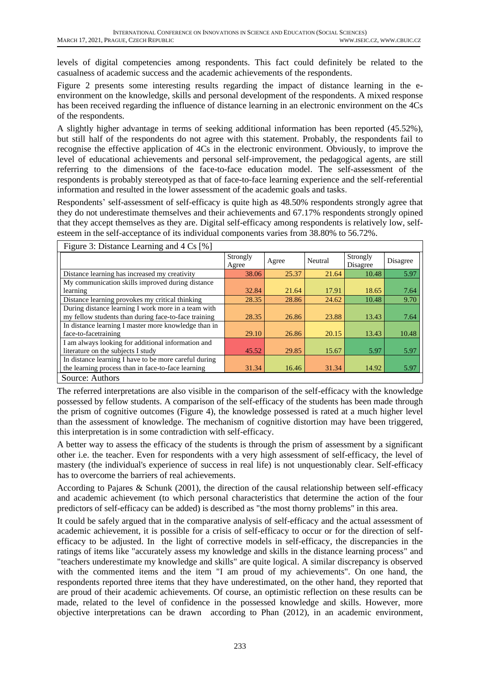levels of digital competencies among respondents. This fact could definitely be related to the casualness of academic success and the academic achievements of the respondents.

Figure 2 presents some interesting results regarding the impact of distance learning in the eenvironment on the knowledge, skills and personal development of the respondents. A mixed response has been received regarding the influence of distance learning in an electronic environment on the 4Cs of the respondents.

A slightly higher advantage in terms of seeking additional information has been reported (45.52%), but still half of the respondents do not agree with this statement. Probably, the respondents fail to recognise the effective application of 4Cs in the electronic environment. Obviously, to improve the level of educational achievements and personal self-improvement, the pedagogical agents, are still referring to the dimensions of the face-to-face education model. The self-assessment of the respondents is probably stereotyped as that of face-to-face learning experience and the self-referential information and resulted in the lower assessment of the academic goals and tasks.

Respondents' self-assessment of self-efficacy is quite high as 48.50% respondents strongly agree that they do not underestimate themselves and their achievements and 67.17% respondents strongly opined that they accept themselves as they are. Digital self-efficacy among respondents is relatively low, selfesteem in the self-acceptance of its individual components varies from 38.80% to 56.72%.

| Figure 3: Distance Learning and 4 Cs [%]              |                   |       |         |                      |          |
|-------------------------------------------------------|-------------------|-------|---------|----------------------|----------|
|                                                       | Strongly<br>Agree | Agree | Neutral | Strongly<br>Disagree | Disagree |
| Distance learning has increased my creativity         | 38.06             | 25.37 | 21.64   | 10.48                | 5.97     |
| My communication skills improved during distance      |                   |       |         |                      |          |
| learning                                              | 32.84             | 21.64 | 17.91   | 18.65                | 7.64     |
| Distance learning provokes my critical thinking       | 28.35             | 28.86 | 24.62   | 10.48                | 9.70     |
| During distance learning I work more in a team with   |                   |       |         |                      |          |
| my fellow students than during face-to-face training  | 28.35             | 26.86 | 23.88   | 13.43                | 7.64     |
| In distance learning I master more knowledge than in  |                   |       |         |                      |          |
| face-to-facetraining                                  | 29.10             | 26.86 | 20.15   | 13.43                | 10.48    |
| I am always looking for additional information and    |                   |       |         |                      |          |
| literature on the subjects I study                    | 45.52             | 29.85 | 15.67   | 5.97                 | 5.97     |
| In distance learning I have to be more careful during |                   |       |         |                      |          |
| the learning process than in face-to-face learning    | 31.34             | 16.46 | 31.34   | 14.92                | 5.97     |
| Source: Authors                                       |                   |       |         |                      |          |

The referred interpretations are also visible in the comparison of the self-efficacy with the knowledge possessed by fellow students. A comparison of the self-efficacy of the students has been made through the prism of cognitive outcomes (Figure 4), the knowledge possessed is rated at a much higher level than the assessment of knowledge. The mechanism of cognitive distortion may have been triggered, this interpretation is in some contradiction with self-efficacy.

A better way to assess the efficacy of the students is through the prism of assessment by a significant other i.e. the teacher. Even for respondents with a very high assessment of self-efficacy, the level of mastery (the individual's experience of success in real life) is not unquestionably clear. Self-efficacy has to overcome the barriers of real achievements.

According to Pajares & Schunk (2001), the direction of the causal relationship between self-efficacy and academic achievement (to which personal characteristics that determine the action of the four predictors of self-efficacy can be added) is described as "the most thorny problems" in this area.

It could be safely argued that in the comparative analysis of self-efficacy and the actual assessment of academic achievement, it is possible for a crisis of self-efficacy to occur or for the direction of selfefficacy to be adjusted. In the light of corrective models in self-efficacy, the discrepancies in the ratings of items like "accurately assess my knowledge and skills in the distance learning process" and "teachers underestimate my knowledge and skills" are quite logical. A similar discrepancy is observed with the commented items and the item "I am proud of my achievements". On one hand, the respondents reported three items that they have underestimated, on the other hand, they reported that are proud of their academic achievements. Of course, an optimistic reflection on these results can be made, related to the level of confidence in the possessed knowledge and skills. However, more objective interpretations can be drawn according to Phan (2012), in an academic environment,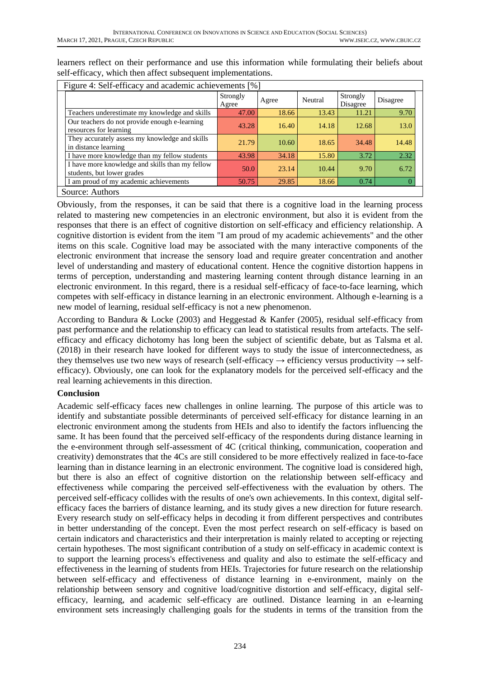| Figure 4: Self-efficacy and academic achievements [%]                         |                   |       |         |                      |          |  |
|-------------------------------------------------------------------------------|-------------------|-------|---------|----------------------|----------|--|
|                                                                               | Strongly<br>Agree | Agree | Neutral | Strongly<br>Disagree | Disagree |  |
| Teachers underestimate my knowledge and skills                                | 47.00             | 18.66 | 13.43   | 11.21                | 9.70     |  |
| Our teachers do not provide enough e-learning<br>resources for learning       | 43.28             | 16.40 | 14.18   | 12.68                | 13.0     |  |
| They accurately assess my knowledge and skills<br>in distance learning        | 21.79             | 10.60 | 18.65   | 34.48                | 14.48    |  |
| I have more knowledge than my fellow students                                 | 43.98             | 34.18 | 15.80   | 3.72                 | 2.32     |  |
| I have more knowledge and skills than my fellow<br>students, but lower grades | 50.0              | 23.14 | 10.44   | 9.70                 | 6.72     |  |
| I am proud of my academic achievements                                        | 50.75             | 29.85 | 18.66   | 0.74                 |          |  |
| Source: Authors                                                               |                   |       |         |                      |          |  |

learners reflect on their performance and use this information while formulating their beliefs about self-efficacy, which then affect subsequent implementations.

Obviously, from the responses, it can be said that there is a cognitive load in the learning process related to mastering new competencies in an electronic environment, but also it is evident from the responses that there is an effect of cognitive distortion on self-efficacy and efficiency relationship. A cognitive distortion is evident from the item "I am proud of my academic achievements" and the other items on this scale. Cognitive load may be associated with the many interactive components of the electronic environment that increase the sensory load and require greater concentration and another level of understanding and mastery of educational content. Hence the cognitive distortion happens in terms of perception, understanding and mastering learning content through distance learning in an electronic environment. In this regard, there is a residual self-efficacy of face-to-face learning, which competes with self-efficacy in distance learning in an electronic environment. Although e-learning is a new model of learning, residual self-efficacy is not a new phenomenon.

According to Bandura & Locke (2003) and Heggestad & Kanfer (2005), residual self-efficacy from past performance and the relationship to efficacy can lead to statistical results from artefacts. The selfefficacy and efficacy dichotomy has long been the subject of scientific debate, but as Talsma et al. (2018) in their research have looked for different ways to study the issue of interconnectedness, as they themselves use two new ways of research (self-efficacy  $\rightarrow$  efficiency versus productivity  $\rightarrow$  selfefficacy). Obviously, one can look for the explanatory models for the perceived self-efficacy and the real learning achievements in this direction.

## **Conclusion**

Academic self-efficacy faces new challenges in online learning. The purpose of this article was to identify and substantiate possible determinants of perceived self-efficacy for distance learning in an electronic environment among the students from HEIs and also to identify the factors influencing the same. It has been found that the perceived self-efficacy of the respondents during distance learning in the e-environment through self-assessment of 4C (critical thinking, communication, cooperation and creativity) demonstrates that the 4Cs are still considered to be more effectively realized in face-to-face learning than in distance learning in an electronic environment. The cognitive load is considered high, but there is also an effect of cognitive distortion on the relationship between self-efficacy and effectiveness while comparing the perceived self-effectiveness with the evaluation by others. The perceived self-efficacy collides with the results of one's own achievements. In this context, digital selfefficacy faces the barriers of distance learning, and its study gives a new direction for future research. Every research study on self-efficacy helps in decoding it from different perspectives and contributes in better understanding of the concept. Even the most perfect research on self-efficacy is based on certain indicators and characteristics and their interpretation is mainly related to accepting or rejecting certain hypotheses. The most significant contribution of a study on self-efficacy in academic context is to support the learning process's effectiveness and quality and also to estimate the self-efficacy and effectiveness in the learning of students from HEIs. Trajectories for future research on the relationship between self-efficacy and effectiveness of distance learning in e-environment, mainly on the relationship between sensory and cognitive load/cognitive distortion and self-efficacy, digital selfefficacy, learning, and academic self-efficacy are outlined. Distance learning in an e-learning environment sets increasingly challenging goals for the students in terms of the transition from the